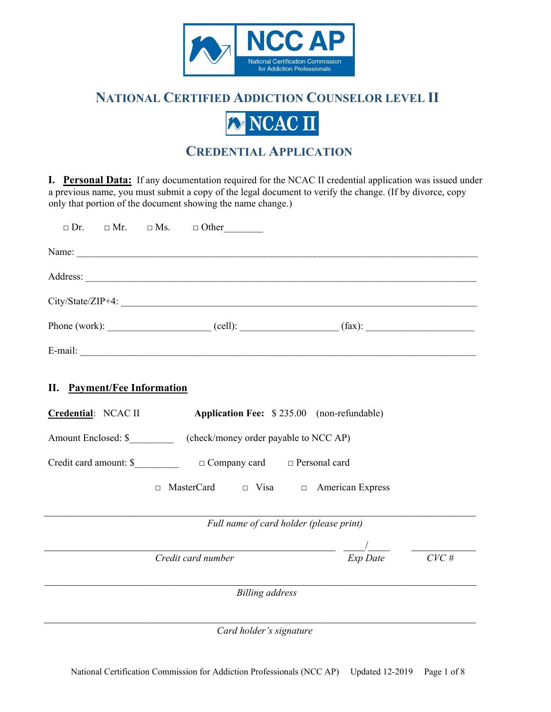

# **NATIONAL CERTIFIED ADDICTION COUNSELOR LEVEL II**



# **CREDENTIAL APPLICATION**

**I. Personal Data:** If any documentation required for the NCAC II credential application was issued under a previous name, you must submit a copy of the legal document to verify the change. (If by divorce, copy only that portion of the document showing the name change.)

|                                    | $\Box$ Dr. $\Box$ Mr. $\Box$ Ms. $\Box$ Other                          |                                         |                                                         |         |
|------------------------------------|------------------------------------------------------------------------|-----------------------------------------|---------------------------------------------------------|---------|
|                                    |                                                                        |                                         |                                                         |         |
|                                    |                                                                        |                                         |                                                         |         |
|                                    | City/State/ZIP+4:                                                      |                                         |                                                         |         |
|                                    |                                                                        |                                         |                                                         |         |
|                                    |                                                                        |                                         |                                                         |         |
| <b>II.</b> Payment/Fee Information |                                                                        |                                         |                                                         |         |
|                                    | Credential: NCAC II Application Fee: \$235.00 (non-refundable)         |                                         |                                                         |         |
|                                    | Amount Enclosed: \$_____________ (check/money order payable to NCC AP) |                                         |                                                         |         |
|                                    |                                                                        |                                         |                                                         |         |
|                                    | MasterCard $\Box$ Visa $\Box$ American Express<br>$\Box$               |                                         |                                                         |         |
|                                    |                                                                        | Full name of card holder (please print) |                                                         |         |
|                                    |                                                                        |                                         |                                                         |         |
|                                    | Credit card number                                                     |                                         | $\frac{1}{\exp\text{Date}}$ $\frac{1}{\exp\text{Date}}$ | $CVC$ # |
|                                    |                                                                        | <b>Billing</b> address                  |                                                         |         |
|                                    |                                                                        | Card holder's signature                 |                                                         |         |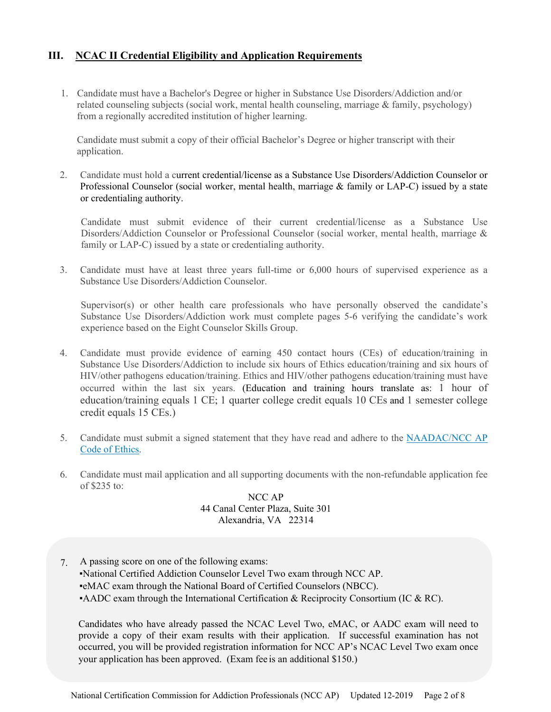# **III. NCAC II Credential Eligibility and Application Requirements**

1. Candidate must have a Bachelor's Degree or higher in Substance Use Disorders/Addiction and/or related counseling subjects (social work, mental health counseling, marriage & family, psychology) from a regionally accredited institution of higher learning.

Candidate must submit a copy of their official Bachelor's Degree or higher transcript with their application.

2. Candidate must hold a current credential/license as a Substance Use Disorders/Addiction Counselor or Professional Counselor (social worker, mental health, marriage & family or LAP-C) issued by a state or credentialing authority.

Candidate must submit evidence of their current credential/license as a Substance Use Disorders/Addiction Counselor or Professional Counselor (social worker, mental health, marriage & family or LAP-C) issued by a state or credentialing authority.

3. Candidate must have at least three years full-time or 6,000 hours of supervised experience as a Substance Use Disorders/Addiction Counselor.

Supervisor(s) or other health care professionals who have personally observed the candidate's Substance Use Disorders/Addiction work must complete pages 5-6 verifying the candidate's work experience based on the Eight Counselor Skills Group.

- 4. Candidate must provide evidence of earning 450 contact hours (CEs) of education/training in Substance Use Disorders/Addiction to include six hours of Ethics education/training and six hours of HIV/other pathogens education/training. Ethics and HIV/other pathogens education/training must have occurred within the last six years. (Education and training hours translate as: 1 hour of education/training equals 1 CE; 1 quarter college credit equals 10 CEs and 1 semester college credit equals 15 CEs.)
- 5. Candidate must submit a signed statement that they have read and adhere to the [NAADAC/NCC AP](https://www.naadac.org/code-of-ethics) [Code of Ethics.](https://www.naadac.org/code-of-ethics)
- 6. Candidate must mail application and all supporting documents with the non-refundable application fee of \$235 to:

NCC AP 44 Canal Center Plaza, Suite 301 Alexandria, VA 22314

7. A passing score on one of the following exams: ▪National Certified Addiction Counselor Level Two exam through NCC AP. ▪eMAC exam through the National Board of Certified Counselors (NBCC). ▪AADC exam through the International Certification & Reciprocity Consortium (IC & RC).

Candidates who have already passed the NCAC Level Two, eMAC, or AADC exam will need to provide a copy of their exam results with their application. If successful examination has not occurred, you will be provided registration information for NCC AP's NCAC Level Two exam once your application has been approved. (Exam fee is an additional \$150.)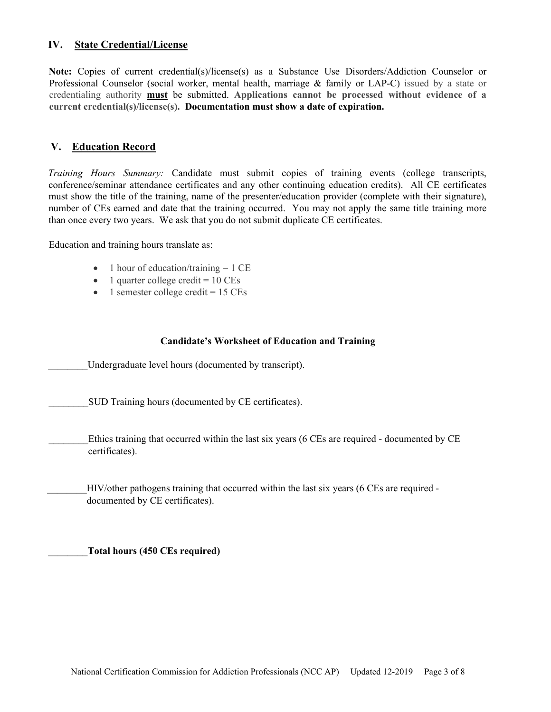# **IV. State Credential/License**

**Note:** Copies of current credential(s)/license(s) as a Substance Use Disorders/Addiction Counselor or Professional Counselor (social worker, mental health, marriage & family or LAP-C) issued by a state or credentialing authority **must** be submitted. **Applications cannot be processed without evidence of a current credential(s)/license(s). Documentation must show a date of expiration.**

## **V. Education Record**

*Training Hours Summary:* Candidate must submit copies of training events (college transcripts, conference/seminar attendance certificates and any other continuing education credits). All CE certificates must show the title of the training, name of the presenter/education provider (complete with their signature), number of CEs earned and date that the training occurred. You may not apply the same title training more than once every two years. We ask that you do not submit duplicate CE certificates.

Education and training hours translate as:

- 1 hour of education/training = 1 CE
- 1 quarter college credit  $= 10 \text{ CEs}$
- 1 semester college credit = 15 CEs

#### **Candidate's Worksheet of Education and Training**

Undergraduate level hours (documented by transcript).

SUD Training hours (documented by CE certificates).

Ethics training that occurred within the last six years (6 CEs are required - documented by CE certificates).

\_\_\_\_\_\_\_\_HIV/other pathogens training that occurred within the last six years (6 CEs are required documented by CE certificates).

\_\_\_\_\_\_\_\_**Total hours (450 CEs required)**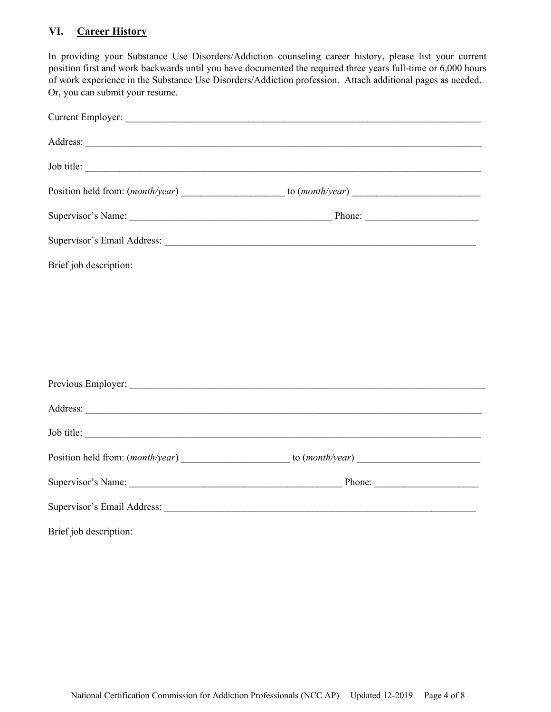# **VI. Career History**

In providing your Substance Use Disorders/Addiction counseling career history, please list your current position first and work backwards until you have documented the required three years full-time or 6,000 hours of work experience in the Substance Use Disorders/Addiction profession. Attach additional pages as needed. Or, you can submit your resume.

| Job title:             |  |
|------------------------|--|
|                        |  |
|                        |  |
|                        |  |
| Brief job description: |  |
|                        |  |
|                        |  |
|                        |  |
|                        |  |
|                        |  |
|                        |  |
| Job title:             |  |
|                        |  |
|                        |  |
|                        |  |
| Brief job description: |  |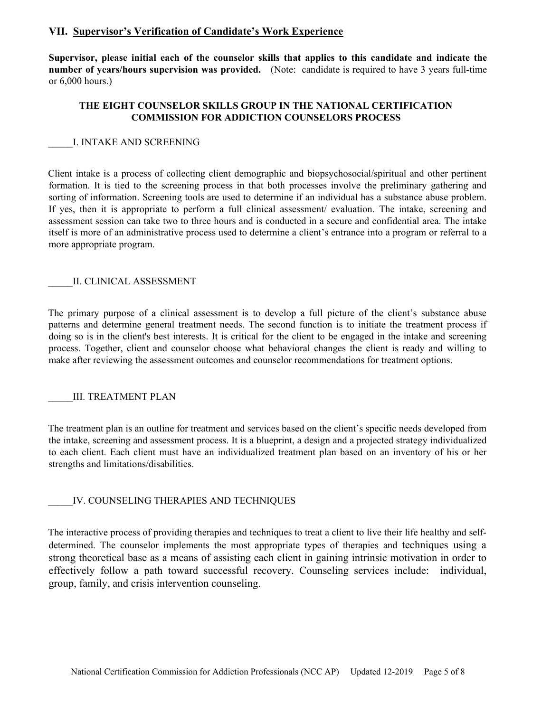## **VII. Supervisor's Verification of Candidate's Work Experience**

**Supervisor, please initial each of the counselor skills that applies to this candidate and indicate the number of years/hours supervision was provided.** (Note: candidate is required to have 3 years full-time or 6,000 hours.)

## **THE EIGHT COUNSELOR SKILLS GROUP IN THE NATIONAL CERTIFICATION COMMISSION FOR ADDICTION COUNSELORS PROCESS**

#### \_\_\_\_\_I. INTAKE AND SCREENING

Client intake is a process of collecting client demographic and biopsychosocial/spiritual and other pertinent formation. It is tied to the screening process in that both processes involve the preliminary gathering and sorting of information. Screening tools are used to determine if an individual has a substance abuse problem. If yes, then it is appropriate to perform a full clinical assessment/ evaluation. The intake, screening and assessment session can take two to three hours and is conducted in a secure and confidential area. The intake itself is more of an administrative process used to determine a client's entrance into a program or referral to a more appropriate program.

#### II. CLINICAL ASSESSMENT

The primary purpose of a clinical assessment is to develop a full picture of the client's substance abuse patterns and determine general treatment needs. The second function is to initiate the treatment process if doing so is in the client's best interests. It is critical for the client to be engaged in the intake and screening process. Together, client and counselor choose what behavioral changes the client is ready and willing to make after reviewing the assessment outcomes and counselor recommendations for treatment options.

## III. TREATMENT PLAN

The treatment plan is an outline for treatment and services based on the client's specific needs developed from the intake, screening and assessment process. It is a blueprint, a design and a projected strategy individualized to each client. Each client must have an individualized treatment plan based on an inventory of his or her strengths and limitations/disabilities.

## IV. COUNSELING THERAPIES AND TECHNIQUES

The interactive process of providing therapies and techniques to treat a client to live their life healthy and selfdetermined. The counselor implements the most appropriate types of therapies and techniques using a strong theoretical base as a means of assisting each client in gaining intrinsic motivation in order to effectively follow a path toward successful recovery. Counseling services include: individual, group, family, and crisis intervention counseling.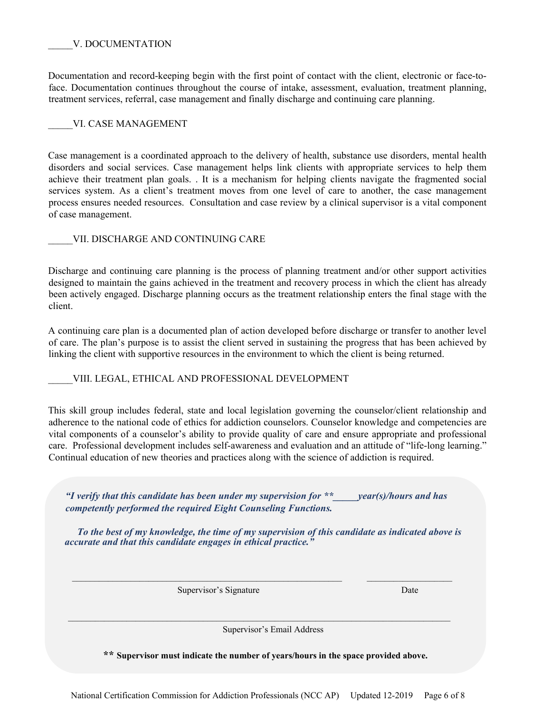## V. DOCUMENTATION

Documentation and record-keeping begin with the first point of contact with the client, electronic or face-toface. Documentation continues throughout the course of intake, assessment, evaluation, treatment planning, treatment services, referral, case management and finally discharge and continuing care planning.

## VI. CASE MANAGEMENT

Case management is a coordinated approach to the delivery of health, substance use disorders, mental health disorders and social services. Case management helps link clients with appropriate services to help them achieve their treatment plan goals. . It is a mechanism for helping clients navigate the fragmented social services system. As a client's treatment moves from one level of care to another, the case management process ensures needed resources. Consultation and case review by a clinical supervisor is a vital component of case management.

VII. DISCHARGE AND CONTINUING CARE

Discharge and continuing care planning is the process of planning treatment and/or other support activities designed to maintain the gains achieved in the treatment and recovery process in which the client has already been actively engaged. Discharge planning occurs as the treatment relationship enters the final stage with the client.

A continuing care plan is a documented plan of action developed before discharge or transfer to another level of care. The plan's purpose is to assist the client served in sustaining the progress that has been achieved by linking the client with supportive resources in the environment to which the client is being returned.

VIII. LEGAL, ETHICAL AND PROFESSIONAL DEVELOPMENT

This skill group includes federal, state and local legislation governing the counselor/client relationship and adherence to the national code of ethics for addiction counselors. Counselor knowledge and competencies are vital components of a counselor's ability to provide quality of care and ensure appropriate and professional care. Professional development includes self-awareness and evaluation and an attitude of "life-long learning." Continual education of new theories and practices along with the science of addiction is required.

*"I verify that this candidate has been under my supervision for \*\*\_\_\_\_\_year(s)/hours and has competently performed the required Eight Counseling Functions.* 

*To the best of my knowledge, the time of my supervision of this candidate as indicated above is accurate and that this candidate engages in ethical practice."* 

 $\mathcal{L}_\text{max}$  , and the contribution of the contribution of the contribution of the contribution of the contribution of the contribution of the contribution of the contribution of the contribution of the contribution of t

 $\mathcal{L}_\text{max}$  and  $\mathcal{L}_\text{max}$  and  $\mathcal{L}_\text{max}$  and  $\mathcal{L}_\text{max}$  and  $\mathcal{L}_\text{max}$  and  $\mathcal{L}_\text{max}$ 

Supervisor's Signature Date

Supervisor's Email Address

**\*\* Supervisor must indicate the number of years/hours in the space provided above.**

National Certification Commission for Addiction Professionals (NCC AP) Updated 12-2019 Page 6 of 8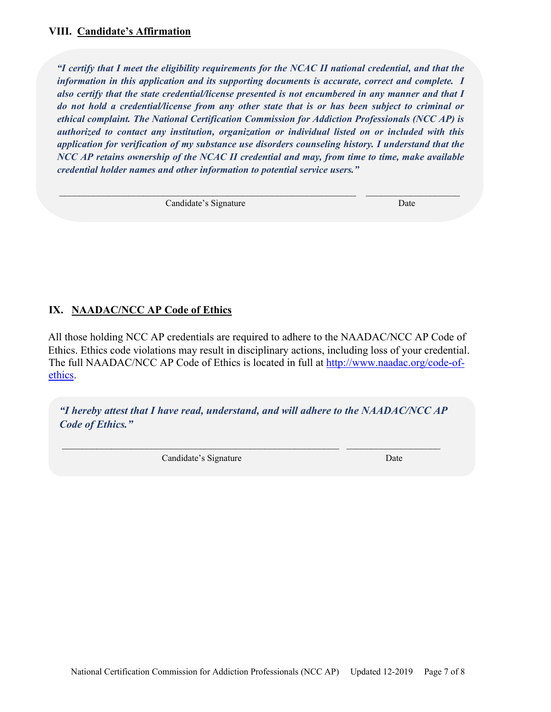*"I certify that I meet the eligibility requirements for the NCAC II national credential, and that the information in this application and its supporting documents is accurate, correct and complete. I also certify that the state credential/license presented is not encumbered in any manner and that I do not hold a credential/license from any other state that is or has been subject to criminal or ethical complaint. The National Certification Commission for Addiction Professionals (NCC AP) is authorized to contact any institution, organization or individual listed on or included with this application for verification of my substance use disorders counseling history. I understand that the NCC AP retains ownership of the NCAC II credential and may, from time to time, make available credential holder names and other information to potential service users."* 

 $\_$  , and the set of the set of the set of the set of the set of the set of the set of the set of the set of the set of the set of the set of the set of the set of the set of the set of the set of the set of the set of th

Candidate's Signature Date

# **IX. NAADAC/NCC AP Code of Ethics**

All those holding NCC AP credentials are required to adhere to the NAADAC/NCC AP Code of Ethics. Ethics code violations may result in disciplinary actions, including loss of your credential. The full NAADAC/NCC AP Code of Ethics is located in full at [http://www.naadac.org/code-of](http://www.naadac.org/code-of-ethics)[ethics.](http://www.naadac.org/code-of-ethics) 

*"I hereby attest that I have read, understand, and will adhere to the NAADAC/NCC AP Code of Ethics."* 

\_\_\_\_\_\_\_\_\_\_\_\_\_\_\_\_\_\_\_\_\_\_\_\_\_\_\_\_\_\_\_\_\_\_\_\_\_\_\_\_\_\_\_\_\_\_\_\_\_\_\_\_\_\_\_\_ \_\_\_\_\_\_\_\_\_\_\_\_\_\_\_\_\_\_\_

Candidate's Signature Date